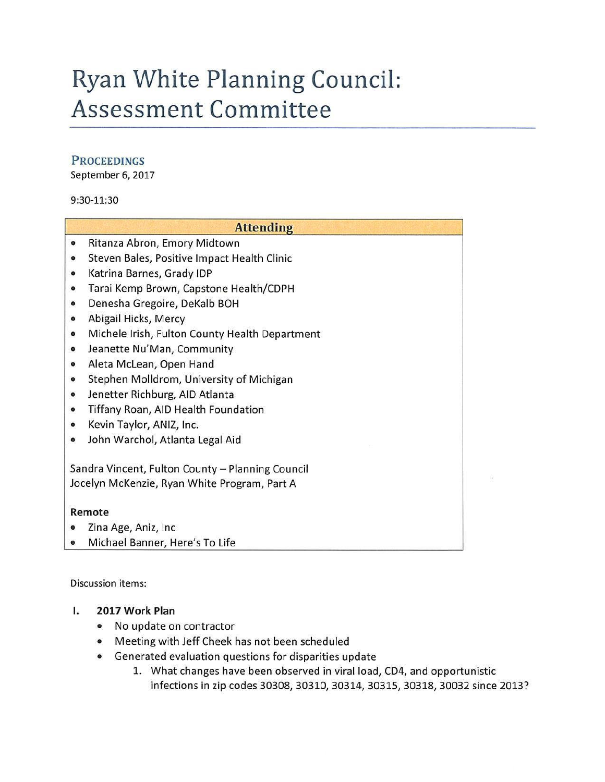# **Ryan White Planning Council: Assessment Committee**

## **PROCEEDINGS**

September 6, 2017

9:30-11:30

|                                                  | <b>Attending</b>                               |
|--------------------------------------------------|------------------------------------------------|
| $\bullet$                                        | Ritanza Abron, Emory Midtown                   |
| ۰                                                | Steven Bales, Positive Impact Health Clinic    |
| $\bullet$                                        | Katrina Barnes, Grady IDP                      |
| $\bullet$                                        | Tarai Kemp Brown, Capstone Health/CDPH         |
| $\bullet$                                        | Denesha Gregoire, DeKalb BOH                   |
| $\bullet$                                        | Abigail Hicks, Mercy                           |
| $\bullet$                                        | Michele Irish, Fulton County Health Department |
| $\bullet$                                        | Jeanette Nu'Man, Community                     |
| $\bullet$                                        | Aleta McLean, Open Hand                        |
| $\bullet$                                        | Stephen Molldrom, University of Michigan       |
| $\bullet$                                        | Jenetter Richburg, AID Atlanta                 |
| $\bullet$                                        | Tiffany Roan, AID Health Foundation            |
| $\bullet$                                        | Kevin Taylor, ANIZ, Inc.                       |
| ۰                                                | John Warchol, Atlanta Legal Aid                |
| Sandra Vincent, Fulton County - Planning Council |                                                |
|                                                  | Jocelyn McKenzie, Ryan White Program, Part A   |
| Remote                                           |                                                |
|                                                  | Zina Age, Aniz, Inc.                           |
| $\bullet$                                        | Michael Banner, Here's To Life                 |

Discussion items:

### I. **2017 Work Plan**

- No update on contractor
- Meeting with Jeff Cheek has not been scheduled
- Generated evaluation questions for disparities update
	- 1. What changes have been observed in viral load, CD4, and opportunistic infections in zip codes 30308, 30310, 30314, 30315, 30318, 30032 since 2013?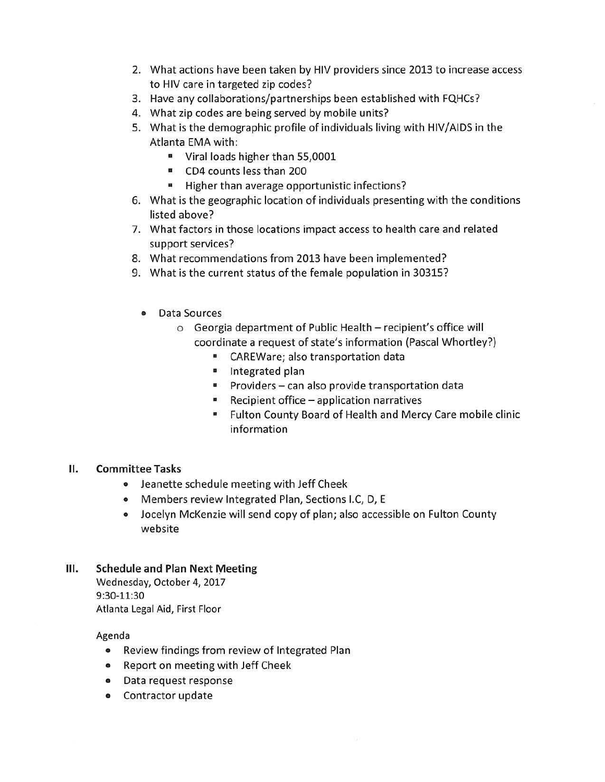- 2. What actions have been taken by HIV providers since 2013 to increase access to HIV care in targeted zip codes?
- 3. Have any collaborations/partnerships been established with FQHCs?
- 4. What zip codes are being served by mobile units?
- 5. What is the demographic profile of individuals living with HIV/AIDS in the Atlanta EMA with:
	- Viral loads higher than 55,0001
	- CD4 counts less than 200
	- Higher than average opportunistic infections?
- 6. What is the geographic location of individuals presenting with the conditions listed above?
- 7. What factors in those locations impact access to health care and related support services?
- 8. What recommendations from 2013 have been implemented?
- 9. What is the current status of the female population in 30315?
	- Data Sources
		- o Georgia department of Public Health recipient's office will coordinate a request of state's information (Pascal Whortley?)
			- CAREWare; also transportation data
			- Integrated plan
			- Providers can also provide transportation data
			- Recipient office application narratives
			- Fulton County Board of Health and Mercy Care mobile clinic information

#### II. **Committee Tasks**

- Jeanette schedule meeting with Jeff Cheek
- Members review Integrated Plan, Sections I.C, D, E
- Jocelyn McKenzie will send copy of plan; also accessible on Fulton County website

#### III. Schedule and Plan Next Meeting

Wednesday, October 4, 2017 9:30-11:30 Atlanta Legal Aid, First Floor

#### Agenda

- Review findings from review of Integrated Plan
- Report on meeting with Jeff Cheek
- Data request response
- Contractor update